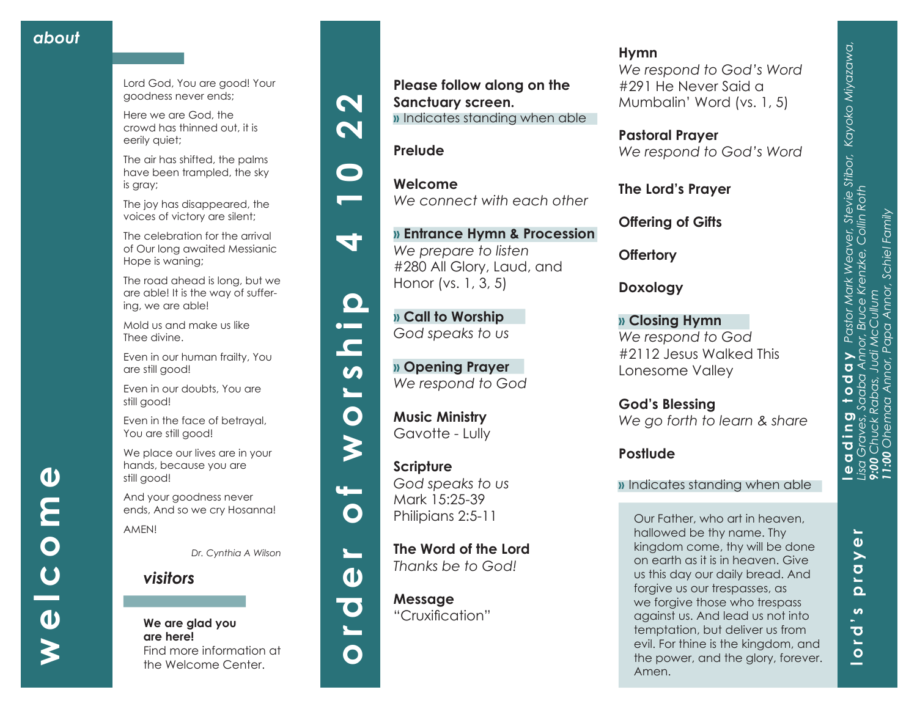**welcome**

 $\overline{C}$ 

 $\boldsymbol{\omega}$ 

 $\overline{\mathbf{O}}$ 

 $\boldsymbol{\omega}$ 

E

Lord God, You are good! Your goodness never ends;

Here we are God, the crowd has thinned out, it is eerily quiet;

The air has shifted, the palms have been trampled, the sky is gray;

The joy has disappeared, the voices of victory are silent;

The celebration for the arrival of Our long awaited Messianic Hope is waning;

The road ahead is long, but we are able! It is the way of suffer ing, we are able!

Mold us and make us like Thee divine.

Even in our human frailty, You are still good!

Even in our doubts, You are still good!

Even in the face of betrayal, You are still good!

We place our lives are in your hands, because you are still good!

And your goodness never ends, And so we cry Hosanna! AMEN!

*Dr. Cynthia A Wilson*

*visitors*

**We are glad you are here!** Find more information at the Welcome Center.















 $\mathbf{u}$ 

 $\mathbf O$ 

 $\mathbf{L}$ 

 $\mathbf{v}$ 

 $\overline{\textbf{C}}$ 

 $\overline{\phantom{0}}$ 

 $\mathbf O$ 

**Music Ministry**  Gavotte - Lully

**Scripture** *God speaks to us* Mark 15:25-39 Philipians 2:5-11

**Please follow along on the** 

**»** Indicates standing when able

*We connect with each other*

**» Entrance Hymn & Procession**

*We prepare to listen*

Honor (vs. 1, 3, 5)

**» Call to Worship**  *God speaks to us*

**» Opening Prayer**  *We respond to God*

#280 All Glory, Laud, and

**Sanctuary screen.**

**Prelude**

**Welcome**

**The Word of the Lord**  *Thanks be to God!*

**Message** "Cruxification"

## **Hymn**

*We respond to God's Word*  #291 He Never Said a Mumbalin' Word (vs. 1, 5)

**Pastoral Prayer** *We respond to God's Word*

**The Lord's Prayer**

**Offering of Gifts**

**Offertory**

**Doxology**

**» Closing Hymn** *We respond to God* #2112 Jesus Walked This Lonesome Valley

**God's Blessing** *We go forth to learn & share*

## **Postlude**

### **»** Indicates standing when able

Our Father, who art in heaven, hallowed be thy name. Thy kingdom come, thy will be done on earth as it is in heaven. Give us this day our daily bread. And forgive us our trespasses, as we forgive those who trespass against us. And lead us not into temptation, but deliver us from evil. For thine is the kingdom, and the power, and the glory, forever. Amen.